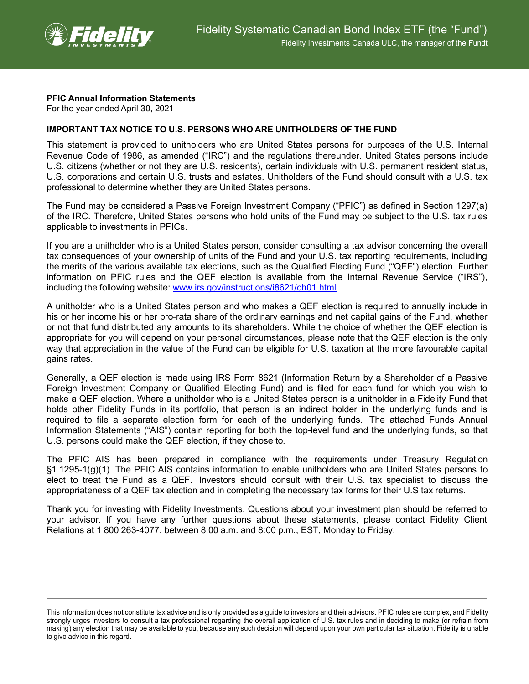

## **PFIC Annual Information Statements**

For the year ended April 30, 2021

## **IMPORTANT TAX NOTICE TO U.S. PERSONS WHO ARE UNITHOLDERS OF THE FUND**

This statement is provided to unitholders who are United States persons for purposes of the U.S. Internal Revenue Code of 1986, as amended ("IRC") and the regulations thereunder. United States persons include U.S. citizens (whether or not they are U.S. residents), certain individuals with U.S. permanent resident status, U.S. corporations and certain U.S. trusts and estates. Unitholders of the Fund should consult with a U.S. tax professional to determine whether they are United States persons.

The Fund may be considered a Passive Foreign Investment Company ("PFIC") as defined in Section 1297(a) of the IRC. Therefore, United States persons who hold units of the Fund may be subject to the U.S. tax rules applicable to investments in PFICs.

If you are a unitholder who is a United States person, consider consulting a tax advisor concerning the overall tax consequences of your ownership of units of the Fund and your U.S. tax reporting requirements, including the merits of the various available tax elections, such as the Qualified Electing Fund ("QEF") election. Further information on PFIC rules and the QEF election is available from the Internal Revenue Service ("IRS"), including the following website: [www.irs.gov/instructions/i8621/ch01.html.](http://www.irs.gov/instructions/i8621/ch01.html)

A unitholder who is a United States person and who makes a QEF election is required to annually include in his or her income his or her pro-rata share of the ordinary earnings and net capital gains of the Fund, whether or not that fund distributed any amounts to its shareholders. While the choice of whether the QEF election is appropriate for you will depend on your personal circumstances, please note that the QEF election is the only way that appreciation in the value of the Fund can be eligible for U.S. taxation at the more favourable capital gains rates.

Generally, a QEF election is made using IRS Form 8621 (Information Return by a Shareholder of a Passive Foreign Investment Company or Qualified Electing Fund) and is filed for each fund for which you wish to make a QEF election. Where a unitholder who is a United States person is a unitholder in a Fidelity Fund that holds other Fidelity Funds in its portfolio, that person is an indirect holder in the underlying funds and is required to file a separate election form for each of the underlying funds. The attached Funds Annual Information Statements ("AIS") contain reporting for both the top-level fund and the underlying funds, so that U.S. persons could make the QEF election, if they chose to.

The PFIC AIS has been prepared in compliance with the requirements under Treasury Regulation §1.1295-1(g)(1). The PFIC AIS contains information to enable unitholders who are United States persons to elect to treat the Fund as a QEF. Investors should consult with their U.S. tax specialist to discuss the appropriateness of a QEF tax election and in completing the necessary tax forms for their U.S tax returns.

Thank you for investing with Fidelity Investments. Questions about your investment plan should be referred to your advisor. If you have any further questions about these statements, please contact Fidelity Client Relations at 1 800 263-4077, between 8:00 a.m. and 8:00 p.m., EST, Monday to Friday.

This information does not constitute tax advice and is only provided as a guide to investors and their advisors. PFIC rules are complex, and Fidelity strongly urges investors to consult a tax professional regarding the overall application of U.S. tax rules and in deciding to make (or refrain from making) any election that may be available to you, because any such decision will depend upon your own particular tax situation. Fidelity is unable to give advice in this regard.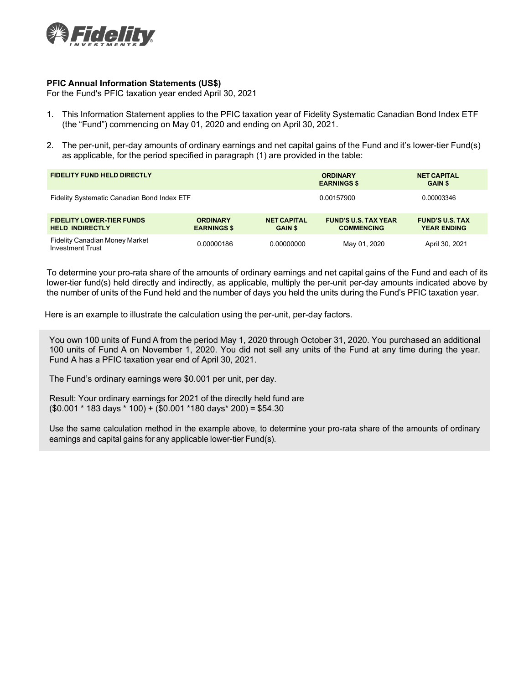

## **PFIC Annual Information Statements (US\$)**

For the Fund's PFIC taxation year ended April 30, 2021

- 1. This Information Statement applies to the PFIC taxation year of Fidelity Systematic Canadian Bond Index ETF (the "Fund") commencing on May 01, 2020 and ending on April 30, 2021.
- 2. The per-unit, per-day amounts of ordinary earnings and net capital gains of the Fund and it's lower-tier Fund(s) as applicable, for the period specified in paragraph (1) are provided in the table:

| <b>FIDELITY FUND HELD DIRECTLY</b>                               |                                       |                                      | <b>ORDINARY</b><br><b>EARNINGS \$</b>            | <b>NET CAPITAL</b><br><b>GAIN \$</b>         |
|------------------------------------------------------------------|---------------------------------------|--------------------------------------|--------------------------------------------------|----------------------------------------------|
| Fidelity Systematic Canadian Bond Index ETF                      |                                       |                                      | 0.00157900                                       | 0.00003346                                   |
| <b>FIDELITY LOWER-TIER FUNDS</b><br><b>HELD INDIRECTLY</b>       | <b>ORDINARY</b><br><b>EARNINGS \$</b> | <b>NET CAPITAL</b><br><b>GAIN \$</b> | <b>FUND'S U.S. TAX YEAR</b><br><b>COMMENCING</b> | <b>FUND'S U.S. TAX</b><br><b>YEAR ENDING</b> |
| <b>Fidelity Canadian Money Market</b><br><b>Investment Trust</b> | 0.00000186                            | 0.00000000                           | May 01, 2020                                     | April 30, 2021                               |

To determine your pro-rata share of the amounts of ordinary earnings and net capital gains of the Fund and each of its lower-tier fund(s) held directly and indirectly, as applicable, multiply the per-unit per-day amounts indicated above by the number of units of the Fund held and the number of days you held the units during the Fund's PFIC taxation year.

Here is an example to illustrate the calculation using the per-unit, per-day factors.

You own 100 units of Fund A from the period May 1, 2020 through October 31, 2020. You purchased an additional 100 units of Fund A on November 1, 2020. You did not sell any units of the Fund at any time during the year. Fund A has a PFIC taxation year end of April 30, 2021.

The Fund's ordinary earnings were \$0.001 per unit, per day.

Result: Your ordinary earnings for 2021 of the directly held fund are (\$0.001 \* 183 days \* 100) + (\$0.001 \*180 days\* 200) = \$54.30

Use the same calculation method in the example above, to determine your pro-rata share of the amounts of ordinary earnings and capital gains for any applicable lower-tier Fund(s).